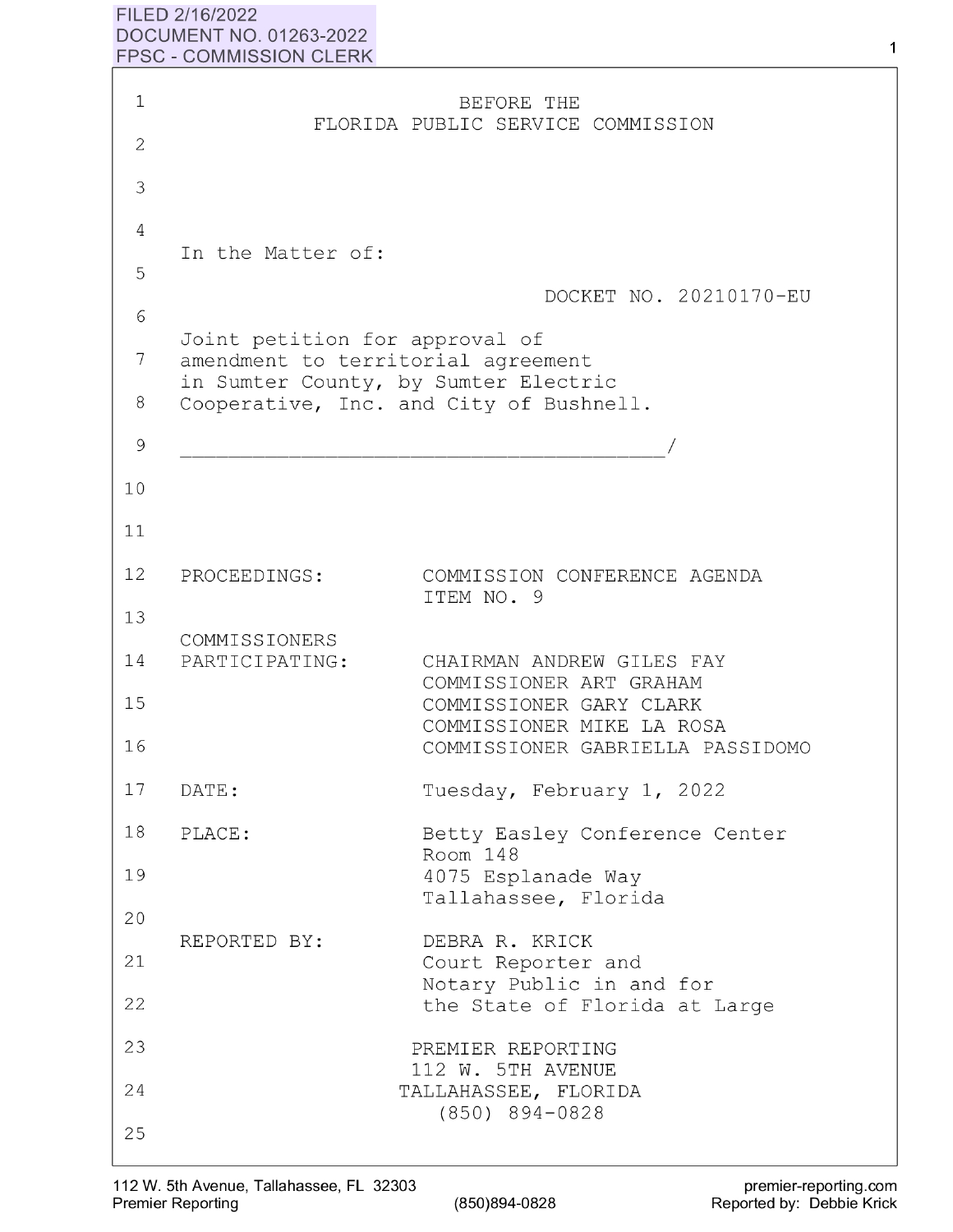## **FILED 2/16/2022 DOCUMENT NO. 01263-2022 FPSC** - **COMMISSION CLERK**

| $\mathbf{1}$  |                                                                      | BEFORE THE                                                       |
|---------------|----------------------------------------------------------------------|------------------------------------------------------------------|
| $\mathbf{2}$  |                                                                      | FLORIDA PUBLIC SERVICE COMMISSION                                |
| 3             |                                                                      |                                                                  |
| 4             |                                                                      |                                                                  |
| 5             | In the Matter of:                                                    |                                                                  |
| 6             |                                                                      | DOCKET NO. 20210170-EU                                           |
| 7             | Joint petition for approval of<br>amendment to territorial agreement | in Sumter County, by Sumter Electric                             |
| 8             |                                                                      | Cooperative, Inc. and City of Bushnell.                          |
| $\mathcal{G}$ |                                                                      |                                                                  |
| 10            |                                                                      |                                                                  |
| 11            |                                                                      |                                                                  |
| 12            | PROCEEDINGS:                                                         | COMMISSION CONFERENCE AGENDA<br>ITEM NO. 9                       |
| 13            |                                                                      |                                                                  |
| 14            | COMMISSIONERS<br>PARTICIPATING:                                      | CHAIRMAN ANDREW GILES FAY<br>COMMISSIONER ART GRAHAM             |
| 15            |                                                                      | COMMISSIONER GARY CLARK<br>COMMISSIONER MIKE LA ROSA             |
| 16            |                                                                      | COMMISSIONER GABRIELLA PASSIDOMO                                 |
| 17            | DATE:                                                                | Tuesday, February 1, 2022                                        |
| 18            | PLACE:                                                               | Betty Easley Conference Center<br>Room 148                       |
| 19            |                                                                      | 4075 Esplanade Way<br>Tallahassee, Florida                       |
| 20            |                                                                      |                                                                  |
| 21            | REPORTED BY:                                                         | DEBRA R. KRICK<br>Court Reporter and<br>Notary Public in and for |
| 22            |                                                                      | the State of Florida at Large                                    |
| 23            |                                                                      | PREMIER REPORTING<br>112 W. 5TH AVENUE                           |
| 24            |                                                                      | TALLAHASSEE, FLORIDA<br>$(850)$ 894-0828                         |
| 25            |                                                                      |                                                                  |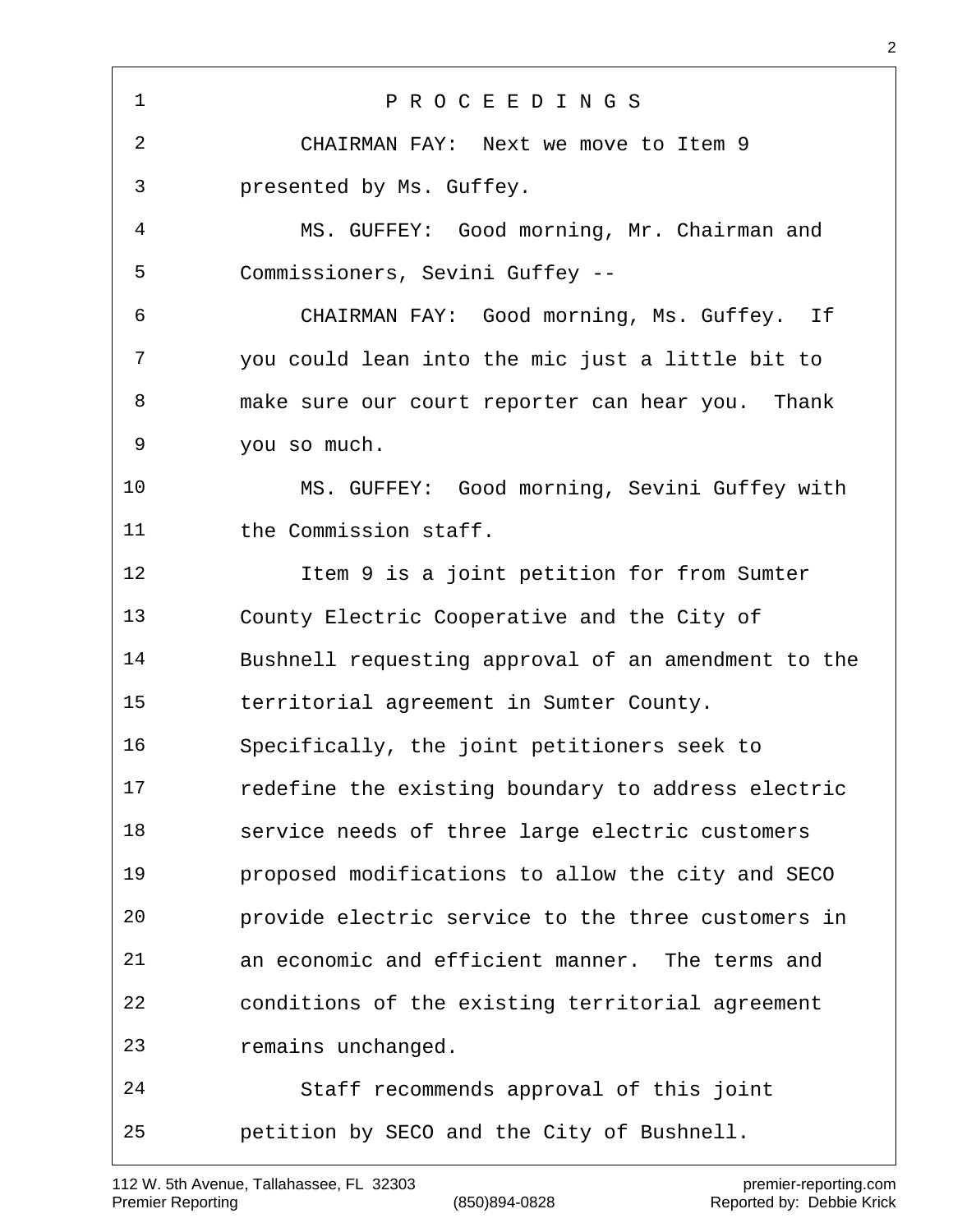P R O C E E D I N G S CHAIRMAN FAY: Next we move to Item 9 presented by Ms. Guffey. MS. GUFFEY: Good morning, Mr. Chairman and Commissioners, Sevini Guffey -- CHAIRMAN FAY: Good morning, Ms. Guffey. If you could lean into the mic just a little bit to make sure our court reporter can hear you. Thank you so much. MS. GUFFEY: Good morning, Sevini Guffey with 11 the Commission staff. Item 9 is a joint petition for from Sumter County Electric Cooperative and the City of Bushnell requesting approval of an amendment to the territorial agreement in Sumter County. Specifically, the joint petitioners seek to redefine the existing boundary to address electric service needs of three large electric customers proposed modifications to allow the city and SECO provide electric service to the three customers in an economic and efficient manner. The terms and conditions of the existing territorial agreement remains unchanged. Staff recommends approval of this joint petition by SECO and the City of Bushnell.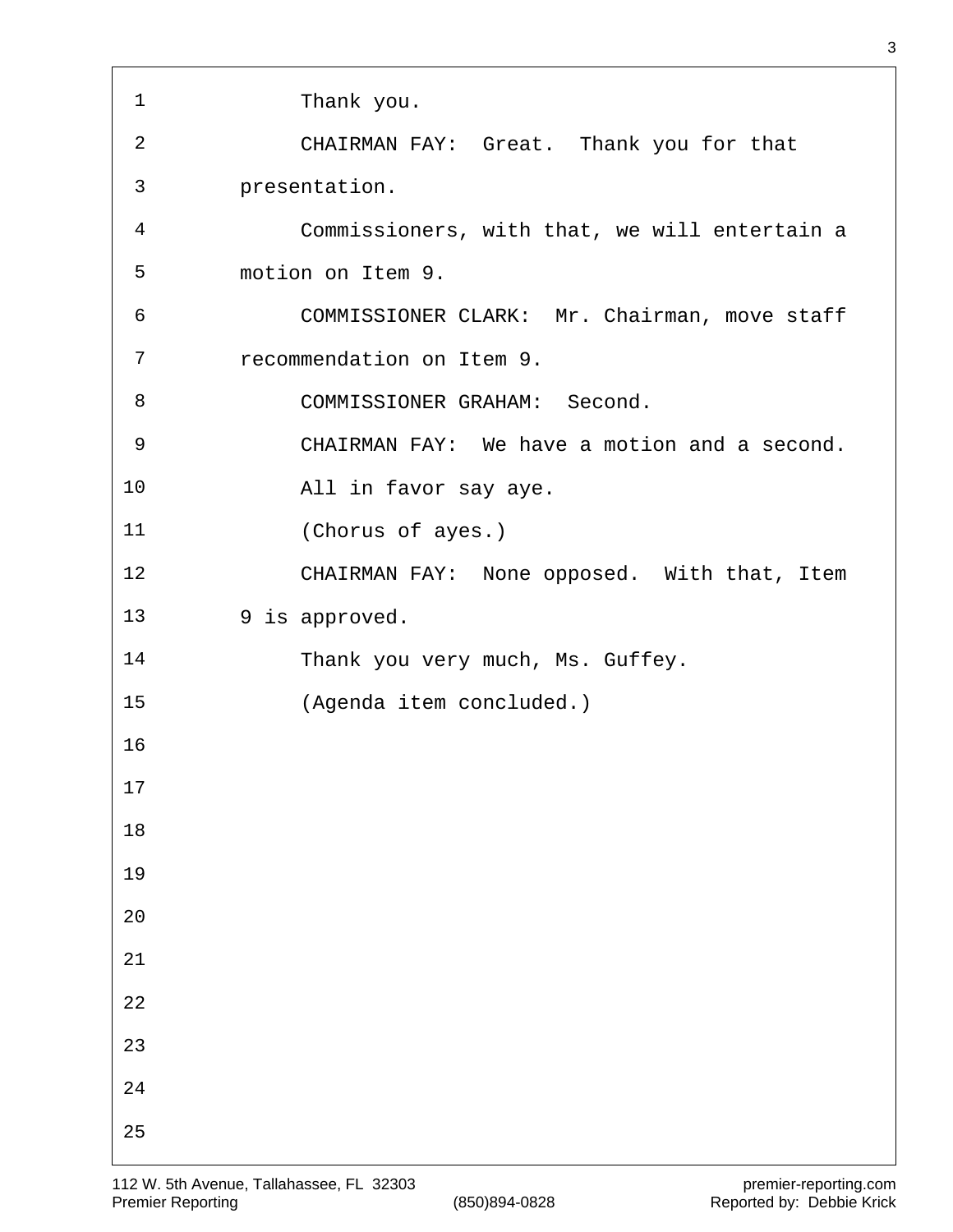| 1  | Thank you.                                    |
|----|-----------------------------------------------|
| 2  | CHAIRMAN FAY: Great. Thank you for that       |
| 3  | presentation.                                 |
| 4  | Commissioners, with that, we will entertain a |
| 5  | motion on Item 9.                             |
| 6  | COMMISSIONER CLARK: Mr. Chairman, move staff  |
| 7  | recommendation on Item 9.                     |
| 8  | COMMISSIONER GRAHAM: Second.                  |
| 9  | CHAIRMAN FAY: We have a motion and a second.  |
| 10 | All in favor say aye.                         |
| 11 | (Chorus of ayes.)                             |
| 12 | CHAIRMAN FAY: None opposed. With that, Item   |
| 13 | 9 is approved.                                |
| 14 | Thank you very much, Ms. Guffey.              |
| 15 | (Agenda item concluded.)                      |
| 16 |                                               |
| 17 |                                               |
| 18 |                                               |
| 19 |                                               |
| 20 |                                               |
| 21 |                                               |
| 22 |                                               |
| 23 |                                               |
| 24 |                                               |
| 25 |                                               |